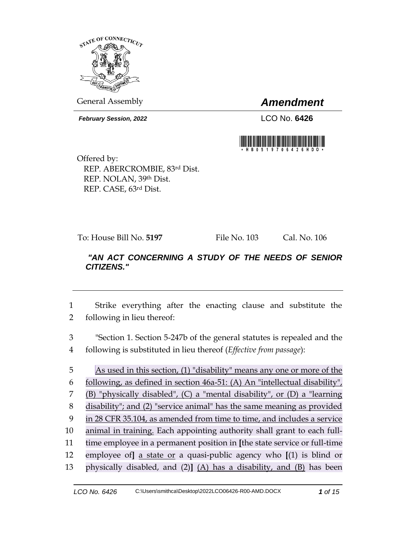

General Assembly *Amendment*

*February Session, 2022* LCO No. **6426**



Offered by: REP. ABERCROMBIE, 83rd Dist. REP. NOLAN, 39th Dist. REP. CASE, 63rd Dist.

To: House Bill No. **5197** File No. 103 Cal. No. 106

# *"AN ACT CONCERNING A STUDY OF THE NEEDS OF SENIOR CITIZENS."*

1 Strike everything after the enacting clause and substitute the 2 following in lieu thereof:

3 "Section 1. Section 5-247b of the general statutes is repealed and the 4 following is substituted in lieu thereof (*Effective from passage*):

 As used in this section, (1) "disability" means any one or more of the following, as defined in section 46a-51: (A) An "intellectual disability", (B) "physically disabled", (C) a "mental disability", or (D) a "learning disability"; and (2) "service animal" has the same meaning as provided in 28 CFR 35.104, as amended from time to time, and includes a service animal in training. Each appointing authority shall grant to each full- time employee in a permanent position in **[**the state service or full-time employee of**]** a state or a quasi-public agency who **[**(1) is blind or physically disabled, and (2)**]** (A) has a disability, and (B) has been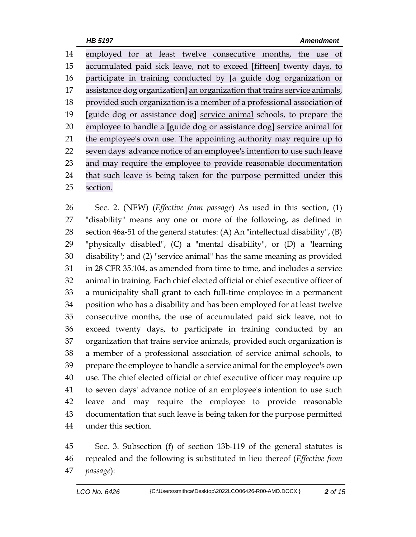employed for at least twelve consecutive months, the use of accumulated paid sick leave, not to exceed **[**fifteen**]** twenty days, to participate in training conducted by **[**a guide dog organization or assistance dog organization**]** an organization that trains service animals, provided such organization is a member of a professional association of **[**guide dog or assistance dog**]** service animal schools, to prepare the employee to handle a **[**guide dog or assistance dog**]** service animal for the employee's own use. The appointing authority may require up to seven days' advance notice of an employee's intention to use such leave and may require the employee to provide reasonable documentation that such leave is being taken for the purpose permitted under this section.

 Sec. 2. (NEW) (*Effective from passage*) As used in this section, (1) "disability" means any one or more of the following, as defined in 28 section 46a-51 of the general statutes: (A) An "intellectual disability",  $(B)$  "physically disabled", (C) a "mental disability", or (D) a "learning disability"; and (2) "service animal" has the same meaning as provided in 28 CFR 35.104, as amended from time to time, and includes a service animal in training. Each chief elected official or chief executive officer of a municipality shall grant to each full-time employee in a permanent position who has a disability and has been employed for at least twelve consecutive months, the use of accumulated paid sick leave, not to exceed twenty days, to participate in training conducted by an organization that trains service animals, provided such organization is a member of a professional association of service animal schools, to prepare the employee to handle a service animal for the employee's own use. The chief elected official or chief executive officer may require up to seven days' advance notice of an employee's intention to use such leave and may require the employee to provide reasonable documentation that such leave is being taken for the purpose permitted under this section.

 Sec. 3. Subsection (f) of section 13b-119 of the general statutes is repealed and the following is substituted in lieu thereof (*Effective from passage*):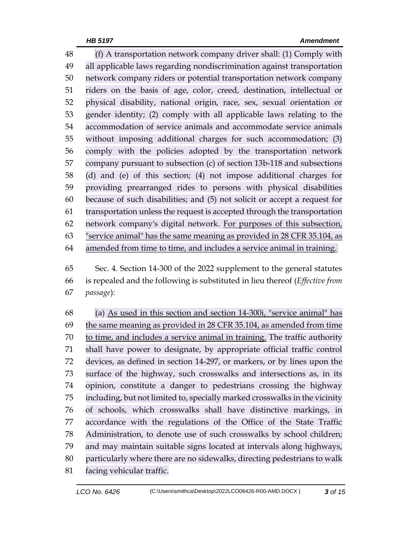(f) A transportation network company driver shall: (1) Comply with all applicable laws regarding nondiscrimination against transportation network company riders or potential transportation network company riders on the basis of age, color, creed, destination, intellectual or physical disability, national origin, race, sex, sexual orientation or gender identity; (2) comply with all applicable laws relating to the accommodation of service animals and accommodate service animals without imposing additional charges for such accommodation; (3) comply with the policies adopted by the transportation network company pursuant to subsection (c) of section 13b-118 and subsections (d) and (e) of this section; (4) not impose additional charges for providing prearranged rides to persons with physical disabilities because of such disabilities; and (5) not solicit or accept a request for transportation unless the request is accepted through the transportation network company's digital network. For purposes of this subsection, "service animal" has the same meaning as provided in 28 CFR 35.104, as amended from time to time, and includes a service animal in training.

 Sec. 4. Section 14-300 of the 2022 supplement to the general statutes is repealed and the following is substituted in lieu thereof (*Effective from passage*):

 (a) As used in this section and section 14-300i, "service animal" has the same meaning as provided in 28 CFR 35.104, as amended from time to time, and includes a service animal in training. The traffic authority shall have power to designate, by appropriate official traffic control devices, as defined in section 14-297, or markers, or by lines upon the surface of the highway, such crosswalks and intersections as, in its opinion, constitute a danger to pedestrians crossing the highway including, but not limited to, specially marked crosswalks in the vicinity of schools, which crosswalks shall have distinctive markings, in accordance with the regulations of the Office of the State Traffic Administration, to denote use of such crosswalks by school children; and may maintain suitable signs located at intervals along highways, particularly where there are no sidewalks, directing pedestrians to walk facing vehicular traffic.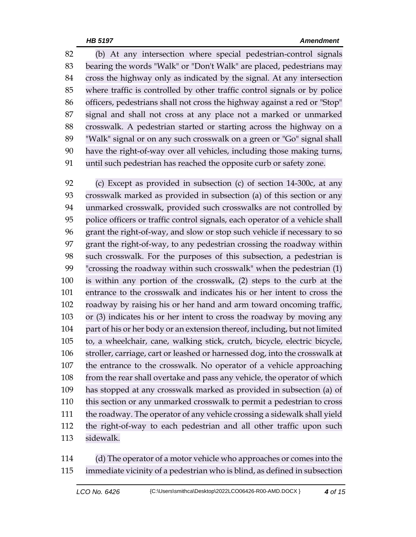(b) At any intersection where special pedestrian-control signals bearing the words "Walk" or "Don't Walk" are placed, pedestrians may cross the highway only as indicated by the signal. At any intersection where traffic is controlled by other traffic control signals or by police officers, pedestrians shall not cross the highway against a red or "Stop" signal and shall not cross at any place not a marked or unmarked crosswalk. A pedestrian started or starting across the highway on a "Walk" signal or on any such crosswalk on a green or "Go" signal shall have the right-of-way over all vehicles, including those making turns, until such pedestrian has reached the opposite curb or safety zone.

 (c) Except as provided in subsection (c) of section 14-300c, at any crosswalk marked as provided in subsection (a) of this section or any unmarked crosswalk, provided such crosswalks are not controlled by police officers or traffic control signals, each operator of a vehicle shall grant the right-of-way, and slow or stop such vehicle if necessary to so grant the right-of-way, to any pedestrian crossing the roadway within such crosswalk. For the purposes of this subsection, a pedestrian is "crossing the roadway within such crosswalk" when the pedestrian (1) is within any portion of the crosswalk, (2) steps to the curb at the entrance to the crosswalk and indicates his or her intent to cross the roadway by raising his or her hand and arm toward oncoming traffic, or (3) indicates his or her intent to cross the roadway by moving any part of his or her body or an extension thereof, including, but not limited to, a wheelchair, cane, walking stick, crutch, bicycle, electric bicycle, stroller, carriage, cart or leashed or harnessed dog, into the crosswalk at the entrance to the crosswalk. No operator of a vehicle approaching from the rear shall overtake and pass any vehicle, the operator of which has stopped at any crosswalk marked as provided in subsection (a) of this section or any unmarked crosswalk to permit a pedestrian to cross the roadway. The operator of any vehicle crossing a sidewalk shall yield the right-of-way to each pedestrian and all other traffic upon such sidewalk.

 (d) The operator of a motor vehicle who approaches or comes into the immediate vicinity of a pedestrian who is blind, as defined in subsection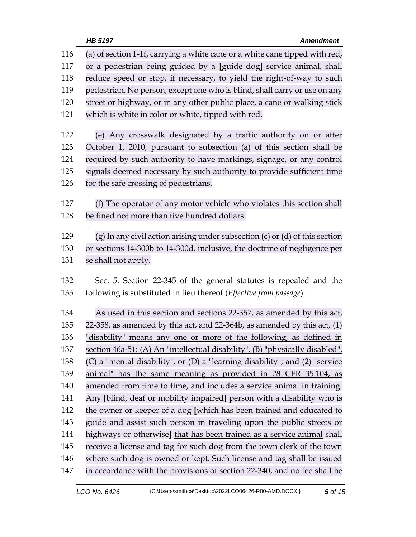| 116 | (a) of section 1-1f, carrying a white cane or a white cane tipped with red,       |
|-----|-----------------------------------------------------------------------------------|
| 117 | or a pedestrian being guided by a [guide dog] service animal, shall               |
| 118 | reduce speed or stop, if necessary, to yield the right-of-way to such             |
| 119 | pedestrian. No person, except one who is blind, shall carry or use on any         |
| 120 | street or highway, or in any other public place, a cane or walking stick          |
| 121 | which is white in color or white, tipped with red.                                |
| 122 | (e) Any crosswalk designated by a traffic authority on or after                   |
| 123 | October 1, 2010, pursuant to subsection (a) of this section shall be              |
| 124 | required by such authority to have markings, signage, or any control              |
| 125 | signals deemed necessary by such authority to provide sufficient time             |
| 126 | for the safe crossing of pedestrians.                                             |
| 127 | (f) The operator of any motor vehicle who violates this section shall             |
| 128 | be fined not more than five hundred dollars.                                      |
| 129 | $(g)$ In any civil action arising under subsection $(c)$ or $(d)$ of this section |
| 130 | or sections 14-300b to 14-300d, inclusive, the doctrine of negligence per         |
| 131 | se shall not apply.                                                               |
| 132 | Sec. 5. Section 22-345 of the general statutes is repealed and the                |
| 133 | following is substituted in lieu thereof (Effective from passage):                |
| 134 | As used in this section and sections 22-357, as amended by this act,              |
| 135 | $22-358$ , as amended by this act, and 22-364b, as amended by this act, $(1)$     |
| 136 | "disability" means any one or more of the following, as defined in                |
| 137 | section 46a-51: (A) An "intellectual disability", (B) "physically disabled",      |
| 138 | (C) a "mental disability", or (D) a "learning disability"; and (2) "service       |
| 139 | animal" has the same meaning as provided in 28 CFR 35.104, as                     |
| 140 | amended from time to time, and includes a service animal in training.             |
| 141 | Any [blind, deaf or mobility impaired] person with a disability who is            |
| 142 | the owner or keeper of a dog [which has been trained and educated to              |
| 143 | guide and assist such person in traveling upon the public streets or              |
| 144 | highways or otherwise] that has been trained as a service animal shall            |
| 145 | receive a license and tag for such dog from the town clerk of the town            |
| 146 | where such dog is owned or kept. Such license and tag shall be issued             |
| 147 | in accordance with the provisions of section 22-340, and no fee shall be          |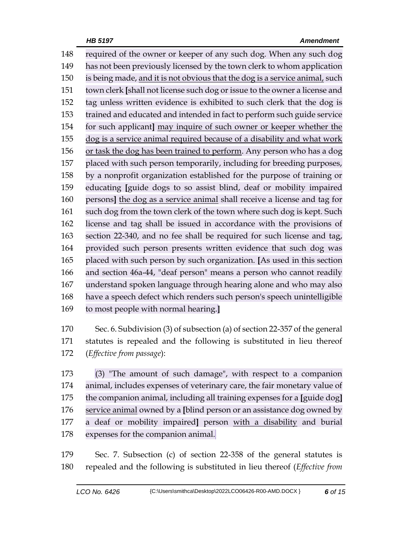required of the owner or keeper of any such dog. When any such dog has not been previously licensed by the town clerk to whom application is being made, and it is not obvious that the dog is a service animal, such town clerk **[**shall not license such dog or issue to the owner a license and tag unless written evidence is exhibited to such clerk that the dog is trained and educated and intended in fact to perform such guide service for such applicant**]** may inquire of such owner or keeper whether the dog is a service animal required because of a disability and what work or task the dog has been trained to perform. Any person who has a dog placed with such person temporarily, including for breeding purposes, by a nonprofit organization established for the purpose of training or educating **[**guide dogs to so assist blind, deaf or mobility impaired persons**]** the dog as a service animal shall receive a license and tag for 161 such dog from the town clerk of the town where such dog is kept. Such license and tag shall be issued in accordance with the provisions of section 22-340, and no fee shall be required for such license and tag, provided such person presents written evidence that such dog was placed with such person by such organization. **[**As used in this section and section 46a-44, "deaf person" means a person who cannot readily understand spoken language through hearing alone and who may also have a speech defect which renders such person's speech unintelligible to most people with normal hearing.**]**

 Sec. 6. Subdivision (3) of subsection (a) of section 22-357 of the general statutes is repealed and the following is substituted in lieu thereof (*Effective from passage*):

 (3) "The amount of such damage", with respect to a companion animal, includes expenses of veterinary care, the fair monetary value of the companion animal, including all training expenses for a **[**guide dog**]** service animal owned by a **[**blind person or an assistance dog owned by a deaf or mobility impaired**]** person with a disability and burial expenses for the companion animal.

 Sec. 7. Subsection (c) of section 22-358 of the general statutes is repealed and the following is substituted in lieu thereof (*Effective from*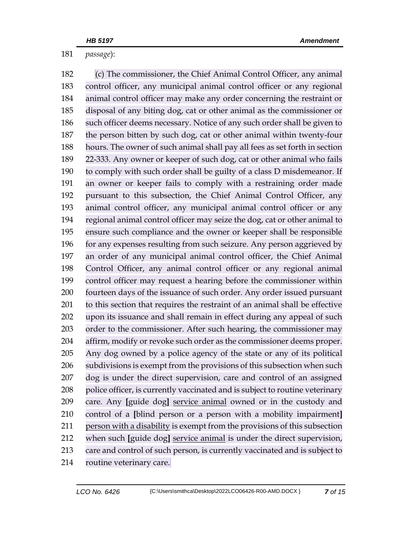*passage*):

 (c) The commissioner, the Chief Animal Control Officer, any animal control officer, any municipal animal control officer or any regional animal control officer may make any order concerning the restraint or disposal of any biting dog, cat or other animal as the commissioner or such officer deems necessary. Notice of any such order shall be given to the person bitten by such dog, cat or other animal within twenty-four hours. The owner of such animal shall pay all fees as set forth in section 22-333. Any owner or keeper of such dog, cat or other animal who fails to comply with such order shall be guilty of a class D misdemeanor. If an owner or keeper fails to comply with a restraining order made pursuant to this subsection, the Chief Animal Control Officer, any animal control officer, any municipal animal control officer or any regional animal control officer may seize the dog, cat or other animal to ensure such compliance and the owner or keeper shall be responsible for any expenses resulting from such seizure. Any person aggrieved by an order of any municipal animal control officer, the Chief Animal Control Officer, any animal control officer or any regional animal control officer may request a hearing before the commissioner within fourteen days of the issuance of such order. Any order issued pursuant to this section that requires the restraint of an animal shall be effective upon its issuance and shall remain in effect during any appeal of such order to the commissioner. After such hearing, the commissioner may affirm, modify or revoke such order as the commissioner deems proper. Any dog owned by a police agency of the state or any of its political subdivisions is exempt from the provisions of this subsection when such dog is under the direct supervision, care and control of an assigned police officer, is currently vaccinated and is subject to routine veterinary care. Any **[**guide dog**]** service animal owned or in the custody and control of a **[**blind person or a person with a mobility impairment**]** person with a disability is exempt from the provisions of this subsection when such **[**guide dog**]** service animal is under the direct supervision, care and control of such person, is currently vaccinated and is subject to routine veterinary care.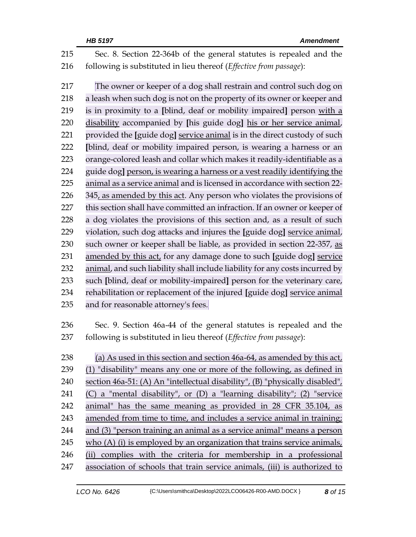|     | HB 5197<br><b>Amendment</b>                                                  |  |  |
|-----|------------------------------------------------------------------------------|--|--|
| 215 | Sec. 8. Section 22-364b of the general statutes is repealed and the          |  |  |
| 216 | following is substituted in lieu thereof (Effective from passage):           |  |  |
| 217 | The owner or keeper of a dog shall restrain and control such dog on          |  |  |
| 218 | a leash when such dog is not on the property of its owner or keeper and      |  |  |
| 219 | is in proximity to a [blind, deaf or mobility impaired] person with a        |  |  |
| 220 | disability accompanied by [his guide dog] his or her service animal,         |  |  |
| 221 | provided the [guide dog] service animal is in the direct custody of such     |  |  |
| 222 | [blind, deaf or mobility impaired person, is wearing a harness or an         |  |  |
| 223 | orange-colored leash and collar which makes it readily-identifiable as a     |  |  |
| 224 | guide dog] person, is wearing a harness or a vest readily identifying the    |  |  |
| 225 | animal as a service animal and is licensed in accordance with section 22-    |  |  |
| 226 | 345, as amended by this act. Any person who violates the provisions of       |  |  |
| 227 | this section shall have committed an infraction. If an owner or keeper of    |  |  |
| 228 | a dog violates the provisions of this section and, as a result of such       |  |  |
| 229 | violation, such dog attacks and injures the [guide dog] service animal,      |  |  |
| 230 | such owner or keeper shall be liable, as provided in section 22-357, as      |  |  |
| 231 | amended by this act, for any damage done to such [guide dog] service         |  |  |
| 232 | animal, and such liability shall include liability for any costs incurred by |  |  |
| 233 | such [blind, deaf or mobility-impaired] person for the veterinary care,      |  |  |
| 234 | rehabilitation or replacement of the injured [guide dog] service animal      |  |  |
| 235 | and for reasonable attorney's fees.                                          |  |  |
| 236 | Sec. 9. Section 46a-44 of the general statutes is repealed and the           |  |  |
| 237 | following is substituted in lieu thereof (Effective from passage):           |  |  |
| 238 | (a) As used in this section and section 46a-64, as amended by this act,      |  |  |
| 239 | (1) "disability" means any one or more of the following, as defined in       |  |  |
| 240 | section 46a-51: (A) An "intellectual disability", (B) "physically disabled", |  |  |
| 241 | (C) a "mental disability", or (D) a "learning disability"; (2) "service      |  |  |
| 242 | animal" has the same meaning as provided in 28 CFR 35.104, as                |  |  |
| 243 | amended from time to time, and includes a service animal in training;        |  |  |
| 244 | and (3) "person training an animal as a service animal" means a person       |  |  |
| 245 | who $(A)$ (i) is employed by an organization that trains service animals,    |  |  |
| 246 | (ii) complies with the criteria for membership in a professional             |  |  |
| 247 | association of schools that train service animals, (iii) is authorized to    |  |  |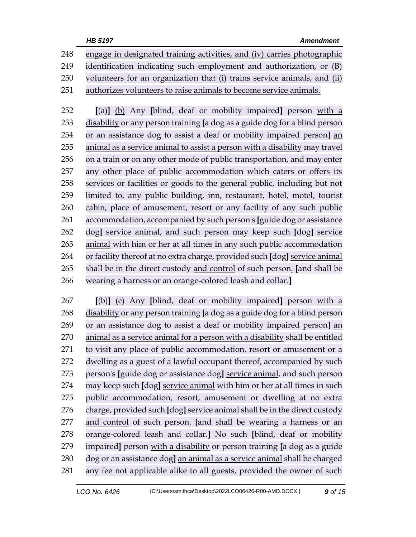|     | HB 5197<br><b>Amendment</b>                                                |
|-----|----------------------------------------------------------------------------|
| 248 | engage in designated training activities, and (iv) carries photographic    |
| 249 | identification indicating such employment and authorization, or (B)        |
| 250 | volunteers for an organization that (i) trains service animals, and (ii)   |
| 251 | authorizes volunteers to raise animals to become service animals.          |
| 252 | [(a)] (b) Any [blind, deaf or mobility impaired] person with a             |
| 253 | disability or any person training [a dog as a guide dog for a blind person |
| 254 | or an assistance dog to assist a deaf or mobility impaired person] an      |
| 255 | animal as a service animal to assist a person with a disability may travel |
| 256 | on a train or on any other mode of public transportation, and may enter    |
| 257 | any other place of public accommodation which caters or offers its         |
| 258 | services or facilities or goods to the general public, including but not   |
| 259 | limited to, any public building, inn, restaurant, hotel, motel, tourist    |
| 260 | cabin, place of amusement, resort or any facility of any such public       |
| 261 | accommodation, accompanied by such person's [guide dog or assistance       |
| 262 | dog] service animal, and such person may keep such [dog] service           |
| 263 | animal with him or her at all times in any such public accommodation       |
| 264 | or facility thereof at no extra charge, provided such [dog] service animal |
| 265 | shall be in the direct custody and control of such person. [and shall be   |
| 266 | wearing a harness or an orange-colored leash and collar.]                  |

 **[**(b)**]** (c) Any **[**blind, deaf or mobility impaired**]** person with a disability or any person training **[**a dog as a guide dog for a blind person or an assistance dog to assist a deaf or mobility impaired person**]** an animal as a service animal for a person with a disability shall be entitled to visit any place of public accommodation, resort or amusement or a dwelling as a guest of a lawful occupant thereof, accompanied by such person's **[**guide dog or assistance dog**]** service animal, and such person may keep such **[**dog**]** service animal with him or her at all times in such public accommodation, resort, amusement or dwelling at no extra charge, provided such **[**dog**]** service animal shall be in the direct custody and control of such person. **[**and shall be wearing a harness or an orange-colored leash and collar.**]** No such **[**blind, deaf or mobility impaired**]** person with a disability or person training **[**a dog as a guide dog or an assistance dog**]** an animal as a service animal shall be charged any fee not applicable alike to all guests, provided the owner of such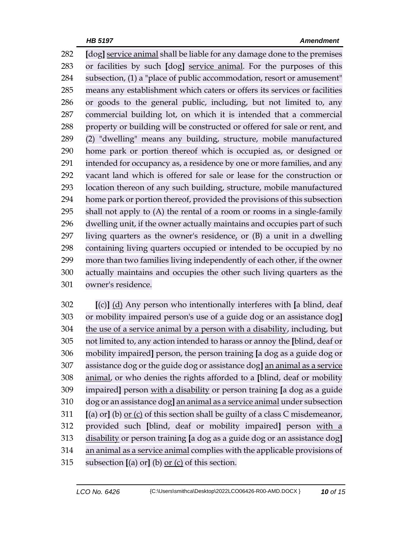**[**dog**]** service animal shall be liable for any damage done to the premises or facilities by such **[**dog**]** service animal. For the purposes of this subsection, (1) a "place of public accommodation, resort or amusement" means any establishment which caters or offers its services or facilities or goods to the general public, including, but not limited to, any commercial building lot, on which it is intended that a commercial property or building will be constructed or offered for sale or rent, and (2) "dwelling" means any building, structure, mobile manufactured home park or portion thereof which is occupied as, or designed or intended for occupancy as, a residence by one or more families, and any vacant land which is offered for sale or lease for the construction or location thereon of any such building, structure, mobile manufactured home park or portion thereof, provided the provisions of this subsection shall not apply to (A) the rental of a room or rooms in a single-family dwelling unit, if the owner actually maintains and occupies part of such living quarters as the owner's residence, or (B) a unit in a dwelling containing living quarters occupied or intended to be occupied by no more than two families living independently of each other, if the owner actually maintains and occupies the other such living quarters as the owner's residence.

 **[**(c)**]** (d) Any person who intentionally interferes with **[**a blind, deaf or mobility impaired person's use of a guide dog or an assistance dog**]** the use of a service animal by a person with a disability, including, but not limited to, any action intended to harass or annoy the **[**blind, deaf or mobility impaired**]** person, the person training **[**a dog as a guide dog or assistance dog or the guide dog or assistance dog**]** an animal as a service animal, or who denies the rights afforded to a **[**blind, deaf or mobility impaired**]** person with a disability or person training **[**a dog as a guide dog or an assistance dog**]** an animal as a service animal under subsection **[**(a) or**]** (b) or (c) of this section shall be guilty of a class C misdemeanor, provided such **[**blind, deaf or mobility impaired**]** person with a disability or person training **[**a dog as a guide dog or an assistance dog**]** an animal as a service animal complies with the applicable provisions of subsection **[**(a) or**]** (b) or (c) of this section.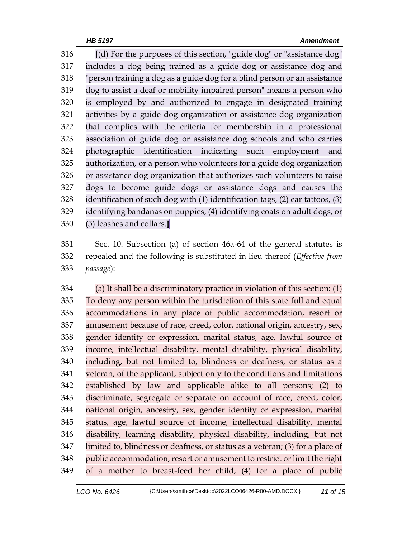**[**(d) For the purposes of this section, "guide dog" or "assistance dog" includes a dog being trained as a guide dog or assistance dog and "person training a dog as a guide dog for a blind person or an assistance dog to assist a deaf or mobility impaired person" means a person who is employed by and authorized to engage in designated training activities by a guide dog organization or assistance dog organization that complies with the criteria for membership in a professional association of guide dog or assistance dog schools and who carries photographic identification indicating such employment and authorization, or a person who volunteers for a guide dog organization or assistance dog organization that authorizes such volunteers to raise dogs to become guide dogs or assistance dogs and causes the identification of such dog with (1) identification tags, (2) ear tattoos, (3) identifying bandanas on puppies, (4) identifying coats on adult dogs, or (5) leashes and collars.**]**

 Sec. 10. Subsection (a) of section 46a-64 of the general statutes is repealed and the following is substituted in lieu thereof (*Effective from passage*):

 (a) It shall be a discriminatory practice in violation of this section: (1) To deny any person within the jurisdiction of this state full and equal accommodations in any place of public accommodation, resort or amusement because of race, creed, color, national origin, ancestry, sex, gender identity or expression, marital status, age, lawful source of income, intellectual disability, mental disability, physical disability, including, but not limited to, blindness or deafness, or status as a veteran, of the applicant, subject only to the conditions and limitations established by law and applicable alike to all persons; (2) to discriminate, segregate or separate on account of race, creed, color, national origin, ancestry, sex, gender identity or expression, marital status, age, lawful source of income, intellectual disability, mental disability, learning disability, physical disability, including, but not limited to, blindness or deafness, or status as a veteran; (3) for a place of public accommodation, resort or amusement to restrict or limit the right of a mother to breast-feed her child; (4) for a place of public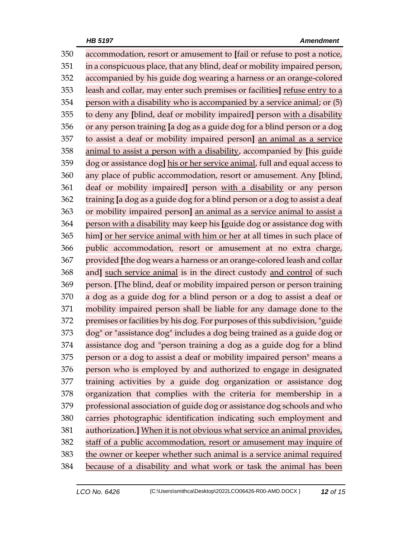accommodation, resort or amusement to **[**fail or refuse to post a notice, in a conspicuous place, that any blind, deaf or mobility impaired person, accompanied by his guide dog wearing a harness or an orange-colored leash and collar, may enter such premises or facilities**]** refuse entry to a person with a disability who is accompanied by a service animal; or (5) to deny any **[**blind, deaf or mobility impaired**]** person with a disability or any person training **[**a dog as a guide dog for a blind person or a dog to assist a deaf or mobility impaired person**]** an animal as a service animal to assist a person with a disability, accompanied by **[**his guide dog or assistance dog**]** his or her service animal, full and equal access to any place of public accommodation, resort or amusement. Any **[**blind, deaf or mobility impaired**]** person with a disability or any person training **[**a dog as a guide dog for a blind person or a dog to assist a deaf or mobility impaired person**]** an animal as a service animal to assist a person with a disability may keep his **[**guide dog or assistance dog with him**]** or her service animal with him or her at all times in such place of public accommodation, resort or amusement at no extra charge, provided **[**the dog wears a harness or an orange-colored leash and collar and**]** such service animal is in the direct custody and control of such person. **[**The blind, deaf or mobility impaired person or person training a dog as a guide dog for a blind person or a dog to assist a deaf or mobility impaired person shall be liable for any damage done to the premises or facilities by his dog. For purposes of this subdivision, "guide dog" or "assistance dog" includes a dog being trained as a guide dog or assistance dog and "person training a dog as a guide dog for a blind person or a dog to assist a deaf or mobility impaired person" means a person who is employed by and authorized to engage in designated training activities by a guide dog organization or assistance dog organization that complies with the criteria for membership in a professional association of guide dog or assistance dog schools and who carries photographic identification indicating such employment and authorization.**]** When it is not obvious what service an animal provides, staff of a public accommodation, resort or amusement may inquire of the owner or keeper whether such animal is a service animal required because of a disability and what work or task the animal has been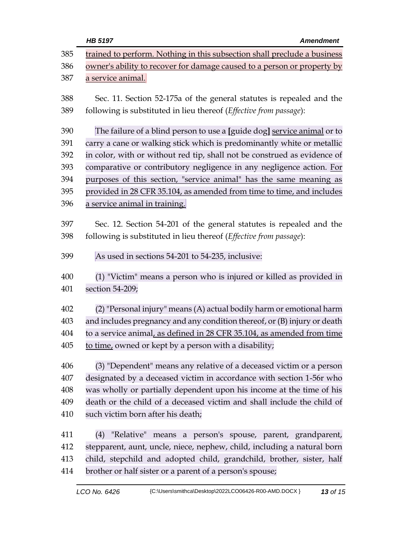|     | HB 5197<br><b>Amendment</b>                                              |  |
|-----|--------------------------------------------------------------------------|--|
| 385 | trained to perform. Nothing in this subsection shall preclude a business |  |
| 386 | owner's ability to recover for damage caused to a person or property by  |  |
| 387 | a service animal.                                                        |  |
| 388 | Sec. 11. Section 52-175a of the general statutes is repealed and the     |  |
| 389 | following is substituted in lieu thereof (Effective from passage):       |  |
| 390 | The failure of a blind person to use a [guide dog] service animal or to  |  |
| 391 | carry a cane or walking stick which is predominantly white or metallic   |  |
| 392 | in color, with or without red tip, shall not be construed as evidence of |  |
| 393 | comparative or contributory negligence in any negligence action. For     |  |
| 394 | purposes of this section, "service animal" has the same meaning as       |  |
| 395 | provided in 28 CFR 35.104, as amended from time to time, and includes    |  |
| 396 | a service animal in training.                                            |  |
| 397 | Sec. 12. Section 54-201 of the general statutes is repealed and the      |  |
| 398 | following is substituted in lieu thereof (Effective from passage):       |  |
|     |                                                                          |  |
| 399 | As used in sections 54-201 to 54-235, inclusive:                         |  |
| 400 | (1) "Victim" means a person who is injured or killed as provided in      |  |
| 401 | section 54-209;                                                          |  |
| 402 | (2) "Personal injury" means (A) actual bodily harm or emotional harm     |  |
| 403 | and includes pregnancy and any condition thereof, or (B) injury or death |  |
| 404 | to a service animal, as defined in 28 CFR 35.104, as amended from time   |  |
| 405 | to time, owned or kept by a person with a disability;                    |  |
| 406 | (3) "Dependent" means any relative of a deceased victim or a person      |  |
| 407 | designated by a deceased victim in accordance with section 1-56r who     |  |
| 408 | was wholly or partially dependent upon his income at the time of his     |  |
| 409 | death or the child of a deceased victim and shall include the child of   |  |
| 410 | such victim born after his death;                                        |  |
| 411 | "Relative" means a person's spouse, parent, grandparent,<br>(4)          |  |
| 412 | stepparent, aunt, uncle, niece, nephew, child, including a natural born  |  |
| 413 | child, stepchild and adopted child, grandchild, brother, sister, half    |  |
| 414 | brother or half sister or a parent of a person's spouse;                 |  |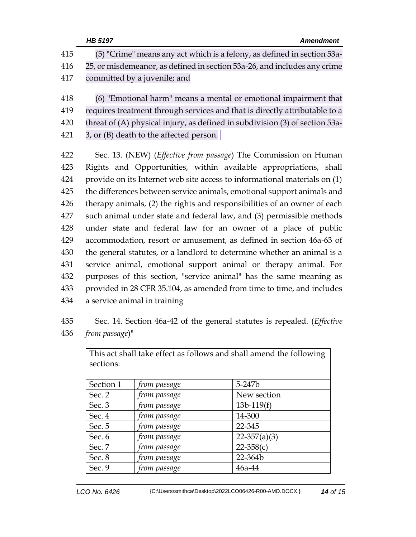|     | HB 5197<br><b>Amendment</b>                                                     |
|-----|---------------------------------------------------------------------------------|
| 415 | (5) "Crime" means any act which is a felony, as defined in section 53a-         |
| 416 | 25, or misdemeanor, as defined in section 53a-26, and includes any crime        |
| 417 | committed by a juvenile; and                                                    |
| 418 | (6) "Emotional harm" means a mental or emotional impairment that                |
| 419 | requires treatment through services and that is directly attributable to a      |
| 420 | threat of (A) physical injury, as defined in subdivision (3) of section 53a-    |
| 421 | 3, or (B) death to the affected person.                                         |
| 422 | Sec. 13. (NEW) ( <i>Effective from passage</i> ) The Commission on Human        |
| 423 | Rights and Opportunities, within available appropriations, shall                |
| 424 | provide on its Internet web site access to informational materials on (1)       |
| 425 | the differences between service animals, emotional support animals and          |
| 426 | therapy animals, (2) the rights and responsibilities of an owner of each        |
| 427 | such animal under state and federal law, and (3) permissible methods            |
| 428 | under state and federal law for an owner of a place of public                   |
| 429 | accommodation, resort or amusement, as defined in section 46a-63 of             |
| 430 | the general statutes, or a landlord to determine whether an animal is a         |
| 431 | service animal, emotional support animal or therapy animal. For                 |
| 432 | purposes of this section, "service animal" has the same meaning as              |
| 433 | provided in 28 CFR 35.104, as amended from time to time, and includes           |
| 434 | a service animal in training                                                    |
| 435 | Sec. 14. Section 46a-42 of the general statutes is repealed. ( <i>Effective</i> |
| 436 | from passage)"                                                                  |

| This act shall take effect as follows and shall amend the following<br>sections: |              |                  |  |  |
|----------------------------------------------------------------------------------|--------------|------------------|--|--|
| Section 1                                                                        | from passage | 5-247b           |  |  |
| Sec. 2                                                                           | from passage | New section      |  |  |
| Sec. $3$                                                                         | from passage | $13b-119(f)$     |  |  |
| Sec. 4                                                                           | from passage | 14-300           |  |  |
| Sec. 5                                                                           | from passage | 22-345           |  |  |
| Sec. 6                                                                           | from passage | $22 - 357(a)(3)$ |  |  |
| Sec. 7                                                                           | from passage | $22 - 358(c)$    |  |  |
| Sec. 8                                                                           | from passage | 22-364b          |  |  |
| Sec. 9                                                                           | from passage | $46a-44$         |  |  |